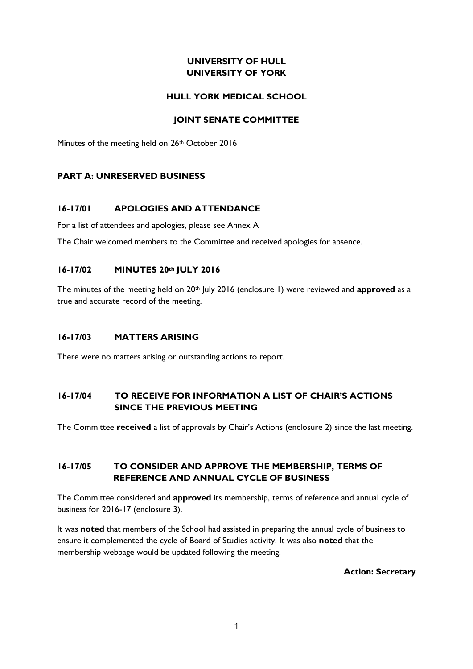# **UNIVERSITY OF HULL UNIVERSITY OF YORK**

### **HULL YORK MEDICAL SCHOOL**

### **JOINT SENATE COMMITTEE**

Minutes of the meeting held on 26<sup>th</sup> October 2016

### **PART A: UNRESERVED BUSINESS**

### **16-17/01 APOLOGIES AND ATTENDANCE**

For a list of attendees and apologies, please see Annex A

The Chair welcomed members to the Committee and received apologies for absence.

### **16-17/02 MINUTES 20th JULY 2016**

The minutes of the meeting held on 20<sup>th</sup> July 2016 (enclosure 1) were reviewed and **approved** as a true and accurate record of the meeting.

### **16-17/03 MATTERS ARISING**

There were no matters arising or outstanding actions to report.

# **16-17/04 TO RECEIVE FOR INFORMATION A LIST OF CHAIR'S ACTIONS SINCE THE PREVIOUS MEETING**

The Committee **received** a list of approvals by Chair's Actions (enclosure 2) since the last meeting.

### **16-17/05 TO CONSIDER AND APPROVE THE MEMBERSHIP, TERMS OF REFERENCE AND ANNUAL CYCLE OF BUSINESS**

The Committee considered and **approved** its membership, terms of reference and annual cycle of business for 2016-17 (enclosure 3).

It was **noted** that members of the School had assisted in preparing the annual cycle of business to ensure it complemented the cycle of Board of Studies activity. It was also **noted** that the membership webpage would be updated following the meeting.

**Action: Secretary**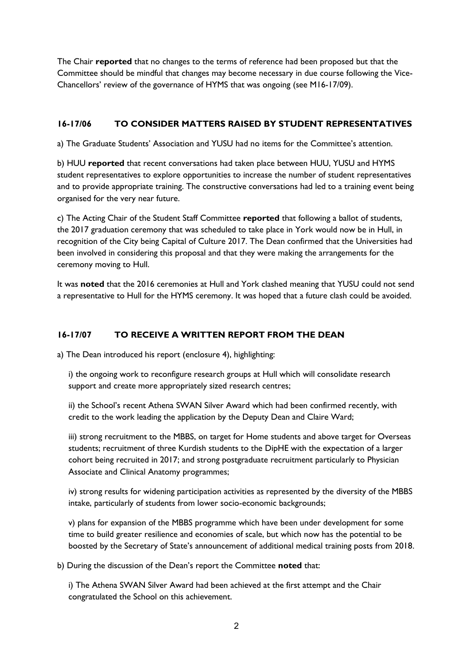The Chair **reported** that no changes to the terms of reference had been proposed but that the Committee should be mindful that changes may become necessary in due course following the Vice-Chancellors' review of the governance of HYMS that was ongoing (see M16-17/09).

# **16-17/06 TO CONSIDER MATTERS RAISED BY STUDENT REPRESENTATIVES**

a) The Graduate Students' Association and YUSU had no items for the Committee's attention.

b) HUU **reported** that recent conversations had taken place between HUU, YUSU and HYMS student representatives to explore opportunities to increase the number of student representatives and to provide appropriate training. The constructive conversations had led to a training event being organised for the very near future.

c) The Acting Chair of the Student Staff Committee **reported** that following a ballot of students, the 2017 graduation ceremony that was scheduled to take place in York would now be in Hull, in recognition of the City being Capital of Culture 2017. The Dean confirmed that the Universities had been involved in considering this proposal and that they were making the arrangements for the ceremony moving to Hull.

It was **noted** that the 2016 ceremonies at Hull and York clashed meaning that YUSU could not send a representative to Hull for the HYMS ceremony. It was hoped that a future clash could be avoided.

# **16-17/07 TO RECEIVE A WRITTEN REPORT FROM THE DEAN**

a) The Dean introduced his report (enclosure 4), highlighting:

i) the ongoing work to reconfigure research groups at Hull which will consolidate research support and create more appropriately sized research centres;

ii) the School's recent Athena SWAN Silver Award which had been confirmed recently, with credit to the work leading the application by the Deputy Dean and Claire Ward;

iii) strong recruitment to the MBBS, on target for Home students and above target for Overseas students; recruitment of three Kurdish students to the DipHE with the expectation of a larger cohort being recruited in 2017; and strong postgraduate recruitment particularly to Physician Associate and Clinical Anatomy programmes;

iv) strong results for widening participation activities as represented by the diversity of the MBBS intake, particularly of students from lower socio-economic backgrounds;

v) plans for expansion of the MBBS programme which have been under development for some time to build greater resilience and economies of scale, but which now has the potential to be boosted by the Secretary of State's announcement of additional medical training posts from 2018.

b) During the discussion of the Dean's report the Committee **noted** that:

i) The Athena SWAN Silver Award had been achieved at the first attempt and the Chair congratulated the School on this achievement.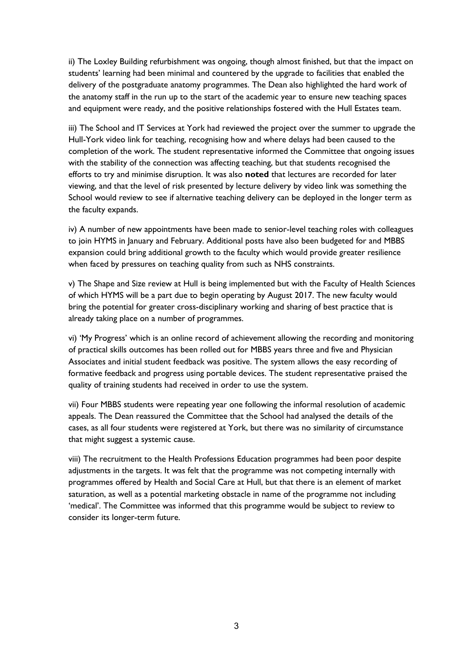ii) The Loxley Building refurbishment was ongoing, though almost finished, but that the impact on students' learning had been minimal and countered by the upgrade to facilities that enabled the delivery of the postgraduate anatomy programmes. The Dean also highlighted the hard work of the anatomy staff in the run up to the start of the academic year to ensure new teaching spaces and equipment were ready, and the positive relationships fostered with the Hull Estates team.

iii) The School and IT Services at York had reviewed the project over the summer to upgrade the Hull-York video link for teaching, recognising how and where delays had been caused to the completion of the work. The student representative informed the Committee that ongoing issues with the stability of the connection was affecting teaching, but that students recognised the efforts to try and minimise disruption. It was also **noted** that lectures are recorded for later viewing, and that the level of risk presented by lecture delivery by video link was something the School would review to see if alternative teaching delivery can be deployed in the longer term as the faculty expands.

iv) A number of new appointments have been made to senior-level teaching roles with colleagues to join HYMS in January and February. Additional posts have also been budgeted for and MBBS expansion could bring additional growth to the faculty which would provide greater resilience when faced by pressures on teaching quality from such as NHS constraints.

v) The Shape and Size review at Hull is being implemented but with the Faculty of Health Sciences of which HYMS will be a part due to begin operating by August 2017. The new faculty would bring the potential for greater cross-disciplinary working and sharing of best practice that is already taking place on a number of programmes.

vi) 'My Progress' which is an online record of achievement allowing the recording and monitoring of practical skills outcomes has been rolled out for MBBS years three and five and Physician Associates and initial student feedback was positive. The system allows the easy recording of formative feedback and progress using portable devices. The student representative praised the quality of training students had received in order to use the system.

vii) Four MBBS students were repeating year one following the informal resolution of academic appeals. The Dean reassured the Committee that the School had analysed the details of the cases, as all four students were registered at York, but there was no similarity of circumstance that might suggest a systemic cause.

viii) The recruitment to the Health Professions Education programmes had been poor despite adjustments in the targets. It was felt that the programme was not competing internally with programmes offered by Health and Social Care at Hull, but that there is an element of market saturation, as well as a potential marketing obstacle in name of the programme not including 'medical'. The Committee was informed that this programme would be subject to review to consider its longer-term future.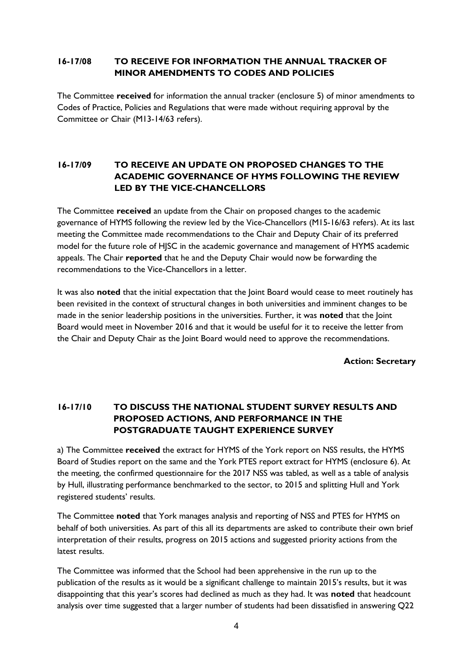### **16-17/08 TO RECEIVE FOR INFORMATION THE ANNUAL TRACKER OF MINOR AMENDMENTS TO CODES AND POLICIES**

The Committee **received** for information the annual tracker (enclosure 5) of minor amendments to Codes of Practice, Policies and Regulations that were made without requiring approval by the Committee or Chair (M13-14/63 refers).

# **16-17/09 TO RECEIVE AN UPDATE ON PROPOSED CHANGES TO THE ACADEMIC GOVERNANCE OF HYMS FOLLOWING THE REVIEW LED BY THE VICE-CHANCELLORS**

The Committee **received** an update from the Chair on proposed changes to the academic governance of HYMS following the review led by the Vice-Chancellors (M15-16/63 refers). At its last meeting the Committee made recommendations to the Chair and Deputy Chair of its preferred model for the future role of HJSC in the academic governance and management of HYMS academic appeals. The Chair **reported** that he and the Deputy Chair would now be forwarding the recommendations to the Vice-Chancellors in a letter.

It was also **noted** that the initial expectation that the Joint Board would cease to meet routinely has been revisited in the context of structural changes in both universities and imminent changes to be made in the senior leadership positions in the universities. Further, it was **noted** that the Joint Board would meet in November 2016 and that it would be useful for it to receive the letter from the Chair and Deputy Chair as the Joint Board would need to approve the recommendations.

**Action: Secretary**

# **16-17/10 TO DISCUSS THE NATIONAL STUDENT SURVEY RESULTS AND PROPOSED ACTIONS, AND PERFORMANCE IN THE POSTGRADUATE TAUGHT EXPERIENCE SURVEY**

a) The Committee **received** the extract for HYMS of the York report on NSS results, the HYMS Board of Studies report on the same and the York PTES report extract for HYMS (enclosure 6). At the meeting, the confirmed questionnaire for the 2017 NSS was tabled, as well as a table of analysis by Hull, illustrating performance benchmarked to the sector, to 2015 and splitting Hull and York registered students' results.

The Committee **noted** that York manages analysis and reporting of NSS and PTES for HYMS on behalf of both universities. As part of this all its departments are asked to contribute their own brief interpretation of their results, progress on 2015 actions and suggested priority actions from the latest results.

The Committee was informed that the School had been apprehensive in the run up to the publication of the results as it would be a significant challenge to maintain 2015's results, but it was disappointing that this year's scores had declined as much as they had. It was **noted** that headcount analysis over time suggested that a larger number of students had been dissatisfied in answering Q22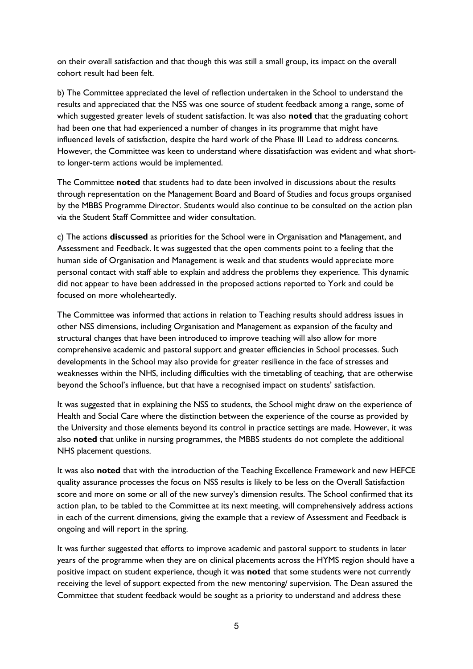on their overall satisfaction and that though this was still a small group, its impact on the overall cohort result had been felt.

b) The Committee appreciated the level of reflection undertaken in the School to understand the results and appreciated that the NSS was one source of student feedback among a range, some of which suggested greater levels of student satisfaction. It was also **noted** that the graduating cohort had been one that had experienced a number of changes in its programme that might have influenced levels of satisfaction, despite the hard work of the Phase III Lead to address concerns. However, the Committee was keen to understand where dissatisfaction was evident and what shortto longer-term actions would be implemented.

The Committee **noted** that students had to date been involved in discussions about the results through representation on the Management Board and Board of Studies and focus groups organised by the MBBS Programme Director. Students would also continue to be consulted on the action plan via the Student Staff Committee and wider consultation.

c) The actions **discussed** as priorities for the School were in Organisation and Management, and Assessment and Feedback. It was suggested that the open comments point to a feeling that the human side of Organisation and Management is weak and that students would appreciate more personal contact with staff able to explain and address the problems they experience. This dynamic did not appear to have been addressed in the proposed actions reported to York and could be focused on more wholeheartedly.

The Committee was informed that actions in relation to Teaching results should address issues in other NSS dimensions, including Organisation and Management as expansion of the faculty and structural changes that have been introduced to improve teaching will also allow for more comprehensive academic and pastoral support and greater efficiencies in School processes. Such developments in the School may also provide for greater resilience in the face of stresses and weaknesses within the NHS, including difficulties with the timetabling of teaching, that are otherwise beyond the School's influence, but that have a recognised impact on students' satisfaction.

It was suggested that in explaining the NSS to students, the School might draw on the experience of Health and Social Care where the distinction between the experience of the course as provided by the University and those elements beyond its control in practice settings are made. However, it was also **noted** that unlike in nursing programmes, the MBBS students do not complete the additional NHS placement questions.

It was also **noted** that with the introduction of the Teaching Excellence Framework and new HEFCE quality assurance processes the focus on NSS results is likely to be less on the Overall Satisfaction score and more on some or all of the new survey's dimension results. The School confirmed that its action plan, to be tabled to the Committee at its next meeting, will comprehensively address actions in each of the current dimensions, giving the example that a review of Assessment and Feedback is ongoing and will report in the spring.

It was further suggested that efforts to improve academic and pastoral support to students in later years of the programme when they are on clinical placements across the HYMS region should have a positive impact on student experience, though it was **noted** that some students were not currently receiving the level of support expected from the new mentoring/ supervision. The Dean assured the Committee that student feedback would be sought as a priority to understand and address these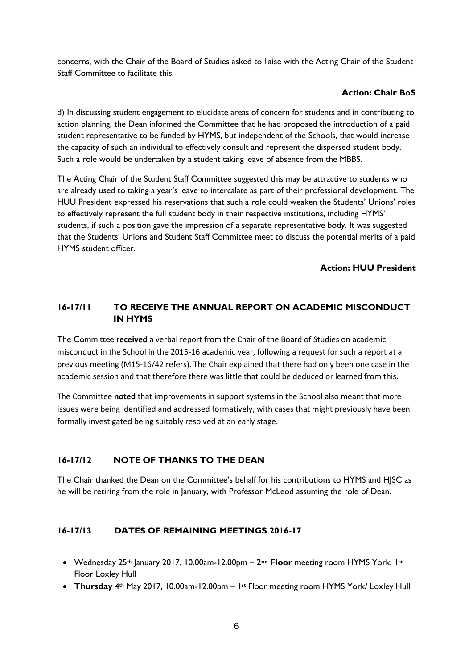concerns, with the Chair of the Board of Studies asked to liaise with the Acting Chair of the Student Staff Committee to facilitate this.

### **Action: Chair BoS**

d) In discussing student engagement to elucidate areas of concern for students and in contributing to action planning, the Dean informed the Committee that he had proposed the introduction of a paid student representative to be funded by HYMS, but independent of the Schools, that would increase the capacity of such an individual to effectively consult and represent the dispersed student body. Such a role would be undertaken by a student taking leave of absence from the MBBS.

The Acting Chair of the Student Staff Committee suggested this may be attractive to students who are already used to taking a year's leave to intercalate as part of their professional development. The HUU President expressed his reservations that such a role could weaken the Students' Unions' roles to effectively represent the full student body in their respective institutions, including HYMS' students, if such a position gave the impression of a separate representative body. It was suggested that the Students' Unions and Student Staff Committee meet to discuss the potential merits of a paid HYMS student officer.

### **Action: HUU President**

# **16-17/11 TO RECEIVE THE ANNUAL REPORT ON ACADEMIC MISCONDUCT IN HYMS**

The Committee **received** a verbal report from the Chair of the Board of Studies on academic misconduct in the School in the 2015-16 academic year, following a request for such a report at a previous meeting (M15-16/42 refers). The Chair explained that there had only been one case in the academic session and that therefore there was little that could be deduced or learned from this.

The Committee **noted** that improvements in support systems in the School also meant that more issues were being identified and addressed formatively, with cases that might previously have been formally investigated being suitably resolved at an early stage.

# **16-17/12 NOTE OF THANKS TO THE DEAN**

The Chair thanked the Dean on the Committee's behalf for his contributions to HYMS and HJSC as he will be retiring from the role in January, with Professor McLeod assuming the role of Dean.

### **16-17/13 DATES OF REMAINING MEETINGS 2016-17**

- Wednesday 25th January 2017, 10.00am-12.00pm **2nd Floor** meeting room HYMS York, 1st Floor Loxley Hull
- **Thursday** 4th May 2017, 10.00am-12.00pm 1st Floor meeting room HYMS York/ Loxley Hull